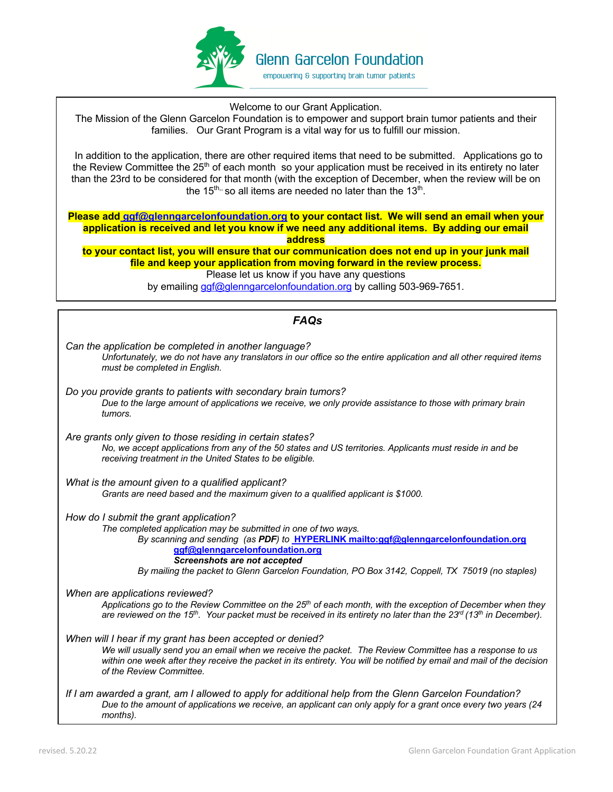

Welcome to our Grant Application.

The Mission of the Glenn Garcelon Foundation is to empower and support brain tumor patients and their families. Our Grant Program is a vital way for us to fulfill our mission.

 In addition to the application, there are other required items that need to be submitted. Applications go to the Review Committee the 25<sup>th</sup> of each month so your application must be received in its entirety no later than the 23rd to be considered for that month (with the exception of December, when the review will be on the  $15<sup>th</sup>$ , so all items are needed no later than the  $13<sup>th</sup>$ .

**Please add ggf@glenngarcelonfoundation.org to your contact list. We will send an email when your application is received and let you know if we need any additional items. By adding our email address** 

**to your contact list, you will ensure that our communication does not end up in your junk mail file and keep your application from moving forward in the review process.** Please let us know if you have any questions

by emailing ggf@glenngarcelonfoundation.org by calling 503-969-7651.

| <b>FAQs</b>                                                                                                                                                                                                                                                                                                                                                                   |
|-------------------------------------------------------------------------------------------------------------------------------------------------------------------------------------------------------------------------------------------------------------------------------------------------------------------------------------------------------------------------------|
| Can the application be completed in another language?<br>Unfortunately, we do not have any translators in our office so the entire application and all other required items<br>must be completed in English.                                                                                                                                                                  |
| Do you provide grants to patients with secondary brain tumors?<br>Due to the large amount of applications we receive, we only provide assistance to those with primary brain<br>tumors.                                                                                                                                                                                       |
| Are grants only given to those residing in certain states?<br>No, we accept applications from any of the 50 states and US territories. Applicants must reside in and be<br>receiving treatment in the United States to be eligible.                                                                                                                                           |
| What is the amount given to a qualified applicant?<br>Grants are need based and the maximum given to a qualified applicant is \$1000.                                                                                                                                                                                                                                         |
| How do I submit the grant application?<br>The completed application may be submitted in one of two ways.<br>By scanning and sending (as PDF) to <b>HYPERLINK</b> mailto:ggf@glenngarcelonfoundation.org<br>ggf@glenngarcelonfoundation.org<br>Screenshots are not accepted<br>By mailing the packet to Glenn Garcelon Foundation, PO Box 3142, Coppell, TX 75019 (no staples) |
| When are applications reviewed?<br>Applications go to the Review Committee on the $25th$ of each month, with the exception of December when they<br>are reviewed on the 15 <sup>th</sup> . Your packet must be received in its entirety no later than the 23 <sup>rd</sup> (13 <sup>th</sup> in December).                                                                    |
| When will I hear if my grant has been accepted or denied?<br>We will usually send you an email when we receive the packet. The Review Committee has a response to us<br>within one week after they receive the packet in its entirety. You will be notified by email and mail of the decision<br>of the Review Committee.                                                     |
| If I am awarded a grant, am I allowed to apply for additional help from the Glenn Garcelon Foundation?<br>Due to the amount of applications we receive, an applicant can only apply for a grant once every two years (24<br>months).                                                                                                                                          |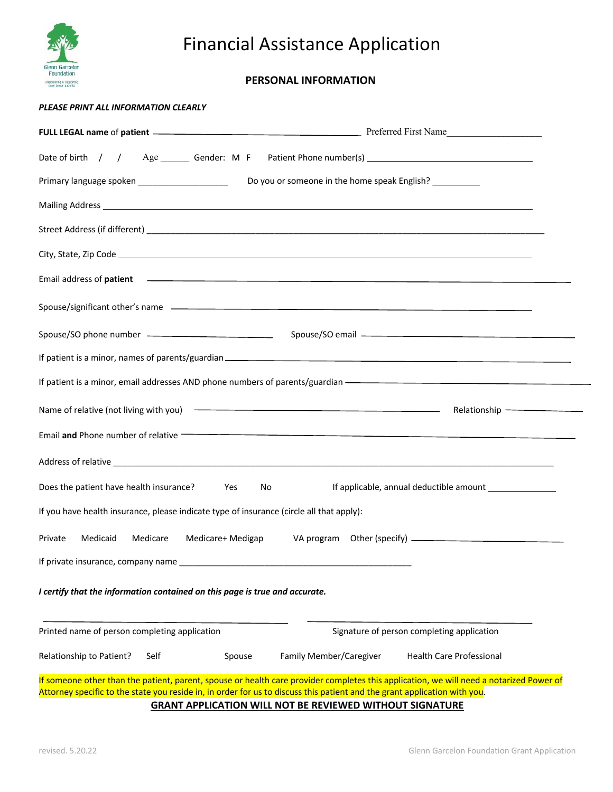

# Financial Assistance Application

# **PERSONAL INFORMATION**

## *PLEASE PRINT ALL INFORMATION CLEARLY*

| Primary language spoken ________________________<br>Do you or someone in the home speak English? ___________                                                                                                                                                                                                                            |  |
|-----------------------------------------------------------------------------------------------------------------------------------------------------------------------------------------------------------------------------------------------------------------------------------------------------------------------------------------|--|
| Mailing Address Lawrence and Contract and Contract and Contract and Contract and Contract and Contract and Contract and Contract and Contract and Contract and Contract and Contract and Contract and Contract and Contract an                                                                                                          |  |
|                                                                                                                                                                                                                                                                                                                                         |  |
|                                                                                                                                                                                                                                                                                                                                         |  |
| Email address of <b>patient</b> 2002 Contract 2008 Contract 2008 Contract 2008 Contract 2008 Contract 2008 Contract 2008                                                                                                                                                                                                                |  |
|                                                                                                                                                                                                                                                                                                                                         |  |
|                                                                                                                                                                                                                                                                                                                                         |  |
|                                                                                                                                                                                                                                                                                                                                         |  |
| If patient is a minor, email addresses AND phone numbers of parents/guardian - The manuscription of the manuscription of the manuscription of the manuscription of the manuscription of the manuscription of the manuscription                                                                                                          |  |
|                                                                                                                                                                                                                                                                                                                                         |  |
| Email and Phone number of relative <b>Contract Contract Contract Contract Contract Contract Contract Contract Contract Contract Contract Contract Contract Contract Contract Contract Contract Contract Contract Contract Contra</b>                                                                                                    |  |
|                                                                                                                                                                                                                                                                                                                                         |  |
| Does the patient have health insurance?<br>No<br>Yes                                                                                                                                                                                                                                                                                    |  |
| If you have health insurance, please indicate type of insurance (circle all that apply):                                                                                                                                                                                                                                                |  |
| Private<br>Medicaid<br>Medicare<br>Medicare+ Medigap                                                                                                                                                                                                                                                                                    |  |
| If private insurance, company name and the state of the state of the state of the state of the state of the state of the state of the state of the state of the state of the state of the state of the state of the state of t                                                                                                          |  |
| I certify that the information contained on this page is true and accurate.                                                                                                                                                                                                                                                             |  |
| Printed name of person completing application<br>Signature of person completing application                                                                                                                                                                                                                                             |  |
| Relationship to Patient?<br>Family Member/Caregiver<br><b>Health Care Professional</b><br>Self<br>Spouse                                                                                                                                                                                                                                |  |
| If someone other than the patient, parent, spouse or health care provider completes this application, we will need a notarized Power of<br>Attorney specific to the state you reside in, in order for us to discuss this patient and the grant application with you.<br><b>GRANT APPLICATION WILL NOT BE REVIEWED WITHOUT SIGNATURE</b> |  |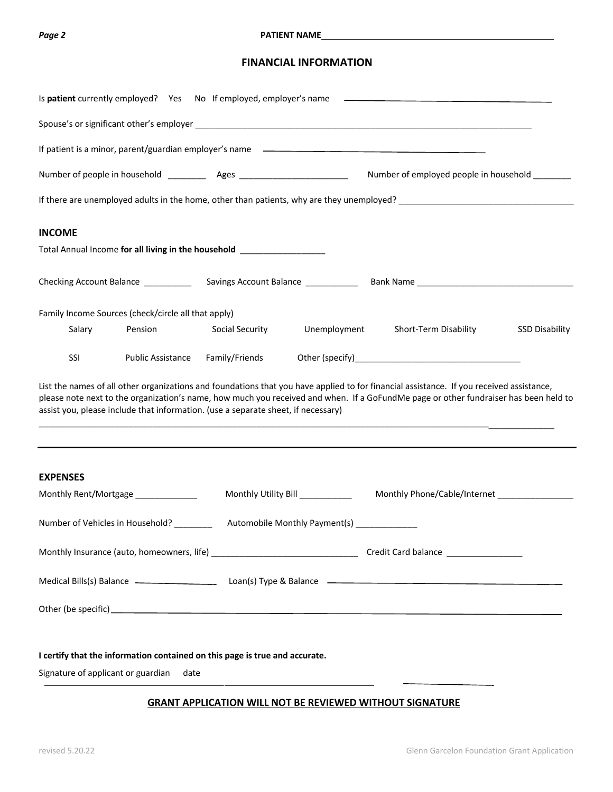## **Page 2 Particular PATIENT NAME**

# **FINANCIAL INFORMATION**

|                                    | Is patient currently employed? Yes No If employed, employer's name                                                                                                                                                             |                 |                                              | <u> 1990 - John Harry Harry Harry Harry Harry Harry Harry Harry Harry Harry Harry Harry Harry Harry Harry Harry H</u>                                                                                                                                                            |                       |
|------------------------------------|--------------------------------------------------------------------------------------------------------------------------------------------------------------------------------------------------------------------------------|-----------------|----------------------------------------------|----------------------------------------------------------------------------------------------------------------------------------------------------------------------------------------------------------------------------------------------------------------------------------|-----------------------|
|                                    |                                                                                                                                                                                                                                |                 |                                              |                                                                                                                                                                                                                                                                                  |                       |
|                                    |                                                                                                                                                                                                                                |                 |                                              |                                                                                                                                                                                                                                                                                  |                       |
|                                    |                                                                                                                                                                                                                                |                 |                                              | Number of employed people in household _______                                                                                                                                                                                                                                   |                       |
|                                    |                                                                                                                                                                                                                                |                 |                                              | If there are unemployed adults in the home, other than patients, why are they unemployed?<br>If there are unemployed adults in the home, other than patients, why are they unemployed?                                                                                           |                       |
| <b>INCOME</b>                      |                                                                                                                                                                                                                                |                 |                                              |                                                                                                                                                                                                                                                                                  |                       |
|                                    | Total Annual Income for all living in the household [100] [100] [100] [100] [100] [100] [100] [100] [100] [100] [100] [100] [100] [100] [100] [100] [100] [100] [100] [100] [100] [100] [100] [100] [100] [100] [100] [100] [1 |                 |                                              |                                                                                                                                                                                                                                                                                  |                       |
|                                    |                                                                                                                                                                                                                                |                 |                                              |                                                                                                                                                                                                                                                                                  |                       |
|                                    | Family Income Sources (check/circle all that apply)                                                                                                                                                                            |                 |                                              |                                                                                                                                                                                                                                                                                  |                       |
| Salary                             | Pension                                                                                                                                                                                                                        | Social Security | Unemployment                                 | Short-Term Disability                                                                                                                                                                                                                                                            | <b>SSD Disability</b> |
| SSI                                | Public Assistance                                                                                                                                                                                                              | Family/Friends  |                                              |                                                                                                                                                                                                                                                                                  |                       |
|                                    | assist you, please include that information. (use a separate sheet, if necessary)                                                                                                                                              |                 |                                              | List the names of all other organizations and foundations that you have applied to for financial assistance. If you received assistance,<br>please note next to the organization's name, how much you received and when. If a GoFundMe page or other fundraiser has been held to |                       |
| <b>EXPENSES</b>                    |                                                                                                                                                                                                                                |                 |                                              |                                                                                                                                                                                                                                                                                  |                       |
|                                    | Monthly Rent/Mortgage _____________                                                                                                                                                                                            |                 | Monthly Utility Bill __________              | Monthly Phone/Cable/Internet _________________                                                                                                                                                                                                                                   |                       |
|                                    | Number of Vehicles in Household? ________                                                                                                                                                                                      |                 | Automobile Monthly Payment(s) ______________ |                                                                                                                                                                                                                                                                                  |                       |
|                                    |                                                                                                                                                                                                                                |                 |                                              |                                                                                                                                                                                                                                                                                  |                       |
|                                    |                                                                                                                                                                                                                                |                 |                                              |                                                                                                                                                                                                                                                                                  |                       |
|                                    |                                                                                                                                                                                                                                |                 |                                              |                                                                                                                                                                                                                                                                                  |                       |
|                                    | I certify that the information contained on this page is true and accurate.                                                                                                                                                    |                 |                                              |                                                                                                                                                                                                                                                                                  |                       |
| Signature of applicant or guardian | date                                                                                                                                                                                                                           |                 |                                              |                                                                                                                                                                                                                                                                                  |                       |

# **GRANT APPLICATION WILL NOT BE REVIEWED WITHOUT SIGNATURE**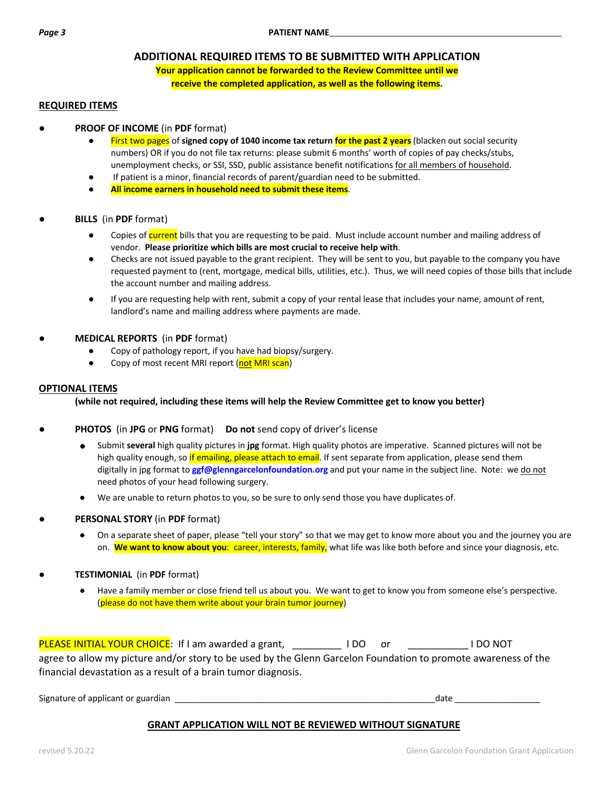# **ADDITIONAL REQUIRED ITEMS TO BE SUBMITTED WITH APPLICATION**

**Your application cannot be forwarded to the Review Committee until we receive the completed application, as well as the following items.**

# **REQUIRED ITEMS**

- **PROOF OF INCOME** (in PDF format)
	- First two pages of signed copy of 1040 income tax return for the past 2 years (blacken out social security numbers) OR if you do not file tax returns: please submit 6 months' worth of copies of pay checks/stubs, unemployment checks, or SSI, SSD, public assistance benefit notifications for all members of household.
	- If patient is a minor, financial records of parent/guardian need to be submitted.
	- **All income earners in household need to submit these items**.
- **BILLS** (in **PDF** format)
	- Copies of current bills that you are requesting to be paid. Must include account number and mailing address of vendor. **Please prioritize which bills are most crucial to receive help with**.
	- Checks are not issued payable to the grant recipient. They will be sent to you, but payable to the company you have requested payment to (rent, mortgage, medical bills, utilities, etc.). Thus, we will need copies of those bills that include the account number and mailing address.
	- If you are requesting help with rent, submit a copy of your rental lease that includes your name, amount of rent, landlord's name and mailing address where payments are made.

## ● **MEDICAL REPORTS** (in **PDF** format)

- Copy of pathology report, if you have had biopsy/surgery.
- Copy of most recent MRI report (not MRI scan)

## **OPTIONAL ITEMS**

## **(while not required, including these items will help the Review Committee get to know you better)**

- **PHOTOS** (in JPG or PNG format) Do not send copy of driver's license
	- Submit several high quality pictures in jpg format. High quality photos are imperative. Scanned pictures will not be high quality enough, so if emailing, please attach to email. If sent separate from application, please send them digitally in jpg format to **ggf@glenngarcelonfoundation.org** and put your name in the subject line. Note: we do not need photos of your head following surgery.
	- We are unable to return photos to you, so be sure to only send those you have duplicates of.
- **PERSONAL STORY** (in PDF format)
	- On a separate sheet of paper, please "tell your story" so that we may get to know more about you and the journey you are on. **We want to know about you**: career, interests, family, what life was like both before and since your diagnosis, etc.
- **TESTIMONIAL** (in **PDF** format)
	- Have a family member or close friend tell us about you. We want to get to know you from someone else's perspective. (please do not have them write about your brain tumor journey)

PLEASE INITIAL YOUR CHOICE: If I am awarded a grant, \_\_\_\_\_\_\_\_\_\_\_ I DO or \_\_\_\_\_\_\_\_\_\_\_\_\_ I DO NOT agree to allow my picture and/or story to be used by the Glenn Garcelon Foundation to promote awareness of the financial devastation as a result of a brain tumor diagnosis.

Signature of applicant or guardian \_\_\_\_\_\_\_\_\_\_\_\_\_\_\_\_\_\_\_\_\_\_\_\_\_\_\_\_\_\_\_\_\_\_\_\_\_\_\_\_\_\_\_\_\_\_\_\_\_\_\_\_\_\_\_date \_\_\_\_\_\_\_\_\_\_\_\_\_\_\_\_\_\_

# **GRANT APPLICATION WILL NOT BE REVIEWED WITHOUT SIGNATURE**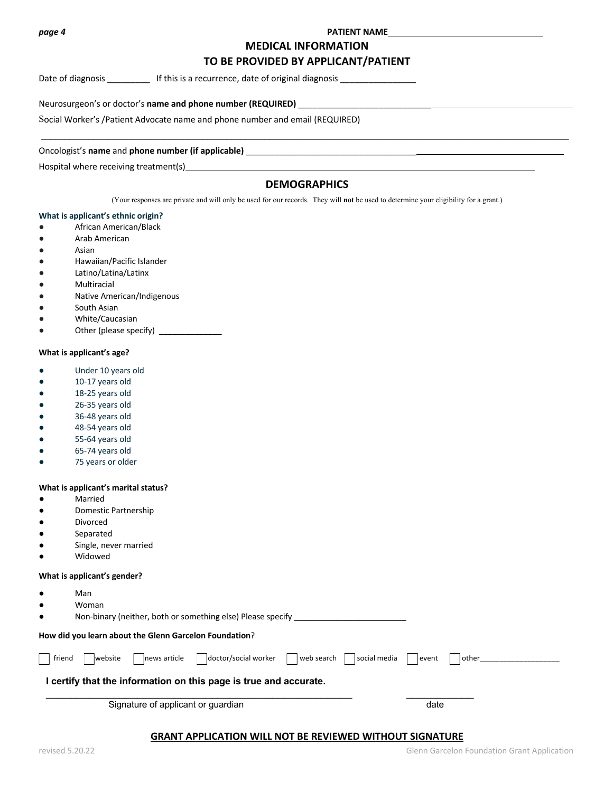#### *page 4* **PATIENT NAME**

# **MEDICAL INFORMATION TO BE PROVIDED BY APPLICANT/PATIENT**

Date of diagnosis \_\_\_\_\_\_\_\_\_\_\_\_\_ If this is a recurrence, date of original diagnosis \_\_\_\_\_\_\_\_

Neurosurgeon's or doctor's **name and phone number (REQUIRED)** \_\_\_\_\_\_\_\_\_\_\_\_\_\_\_\_\_\_\_\_\_\_\_\_\_\_\_\_\_\_\_\_\_\_\_\_\_\_\_\_\_\_\_\_\_\_\_\_\_\_\_\_\_\_\_\_\_\_

Oncologist's name and phone number (if applicable)

Hospital where receiving treatment(s)

# **DEMOGRAPHICS**

 $\mathcal{L}_\text{max} = \mathcal{L}_\text{max} = \mathcal{L}_\text{max} = \mathcal{L}_\text{max} = \mathcal{L}_\text{max} = \mathcal{L}_\text{max} = \mathcal{L}_\text{max} = \mathcal{L}_\text{max} = \mathcal{L}_\text{max} = \mathcal{L}_\text{max} = \mathcal{L}_\text{max} = \mathcal{L}_\text{max} = \mathcal{L}_\text{max} = \mathcal{L}_\text{max} = \mathcal{L}_\text{max} = \mathcal{L}_\text{max} = \mathcal{L}_\text{max} = \mathcal{L}_\text{max} = \mathcal{$ 

(Your responses are private and will only be used for our records. They will **not** be used to determine your eligibility for a grant.)

#### **What is applicant's ethnic origin?**

- African American/Black
- Arab American
- Asian
- Hawaiian/Pacific Islander
- Latino/Latina/Latinx
- Multiracial
- Native American/Indigenous
- South Asian
- White/Caucasian
- Other (please specify)

#### **What is applicant's age?**

- Under 10 years old
- 10-17 years old
- 18-25 years old
- 26-35 years old
- 36-48 years old
- 48-54 years old
- 55-64 years old
- 65-74 years old
- 75 years or older

#### **What is applicant's marital status?**

- Married
- Domestic Partnership
- Divorced
- Separated
- Single, never married
- Widowed

#### **What is applicant's gender?**

- Man
- Woman

|  | Non-binary (neither, both or something else) Please specify |  |
|--|-------------------------------------------------------------|--|
|--|-------------------------------------------------------------|--|

#### **How did you learn about the Glenn Garcelon Foundation**?

| friena | Iwebsite | lnews article | ldoctor/social worker | i web search | l social media | event | other |
|--------|----------|---------------|-----------------------|--------------|----------------|-------|-------|

## **I certify that the information on this page is true and accurate.**

Signature of applicant or guardian date of a set of a set of a set of a set of a set of a set of a set of a set of a set of a set of a set of a set of a set of a set of a set of a set of a set of a set of a set of a set of

# **GRANT APPLICATION WILL NOT BE REVIEWED WITHOUT SIGNATURE**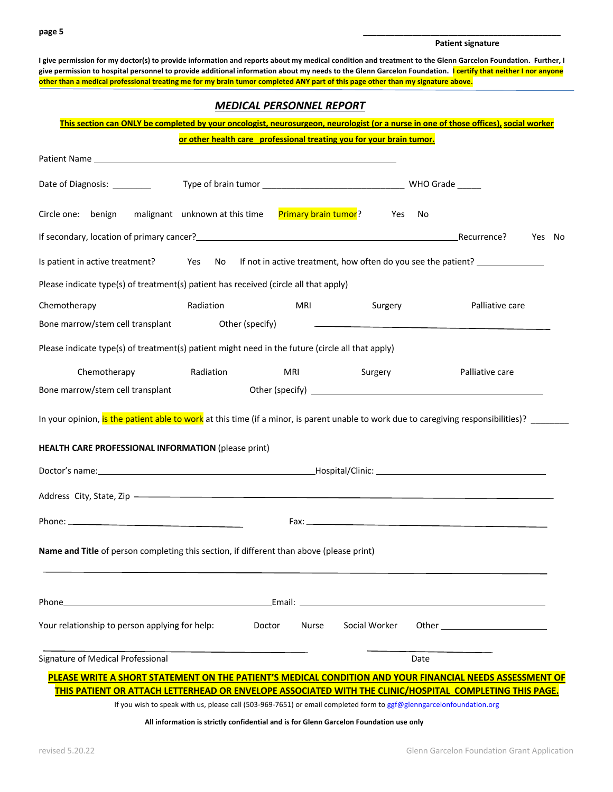### **Patient signature**

I give permission for my doctor(s) to provide information and reports about my medical condition and treatment to the Glenn Garcelon Foundation. Further, I give permission to hospital personnel to provide additional information about my needs to the Glenn Garcelon Foundation. I certify that neither I nor anyone **other than a medical professional treating me for my brain tumor completed ANY part of this page other than my signature above.** 

# *MEDICAL PERSONNEL REPORT*

## **This section can ONLY be completed by your oncologist, neurosurgeon, neurologist (or a nurse in one of those offices), social worker or other health care professional treating you for your brain tumor.**

| Patient Name Lawrence and the contract of the contract of the contract of the contract of the contract of the contract of the contract of the contract of the contract of the contract of the contract of the contract of the    | <u><b><u>Uther nearth care</u></b> professional treating you for your prain tanion</u>                              |                             |                                                                                                                                                                                                                                |      |                                    |        |  |
|----------------------------------------------------------------------------------------------------------------------------------------------------------------------------------------------------------------------------------|---------------------------------------------------------------------------------------------------------------------|-----------------------------|--------------------------------------------------------------------------------------------------------------------------------------------------------------------------------------------------------------------------------|------|------------------------------------|--------|--|
| Date of Diagnosis: ________                                                                                                                                                                                                      |                                                                                                                     |                             |                                                                                                                                                                                                                                |      |                                    |        |  |
| Circle one: benign                                                                                                                                                                                                               | malignant unknown at this time                                                                                      | <b>Primary brain tumor?</b> | <b>Press</b>                                                                                                                                                                                                                   | No   |                                    |        |  |
| If secondary, location of primary cancer?<br>1990 - Recurrence President District Proposition of primary cancer?<br>2001 - President District President District President President President President President President Pre |                                                                                                                     |                             |                                                                                                                                                                                                                                |      |                                    | Yes No |  |
| Is patient in active treatment? Yes No If not in active treatment, how often do you see the patient?                                                                                                                             |                                                                                                                     |                             |                                                                                                                                                                                                                                |      |                                    |        |  |
| Please indicate type(s) of treatment(s) patient has received (circle all that apply)                                                                                                                                             |                                                                                                                     |                             |                                                                                                                                                                                                                                |      |                                    |        |  |
| Chemotherapy                                                                                                                                                                                                                     | Radiation                                                                                                           | MRI                         | Surgery                                                                                                                                                                                                                        |      | Palliative care                    |        |  |
| Bone marrow/stem cell transplant Other (specify)                                                                                                                                                                                 |                                                                                                                     |                             | the contract of the contract of the contract of the contract of the contract of the contract of                                                                                                                                |      |                                    |        |  |
| Please indicate type(s) of treatment(s) patient might need in the future (circle all that apply)                                                                                                                                 |                                                                                                                     |                             |                                                                                                                                                                                                                                |      |                                    |        |  |
| Chemotherapy                                                                                                                                                                                                                     | Radiation                                                                                                           | MRI                         | Surgery                                                                                                                                                                                                                        |      | Palliative care                    |        |  |
| Bone marrow/stem cell transplant                                                                                                                                                                                                 |                                                                                                                     |                             |                                                                                                                                                                                                                                |      |                                    |        |  |
| In your opinion, is the patient able to work at this time (if a minor, is parent unable to work due to caregiving responsibilities)?                                                                                             |                                                                                                                     |                             |                                                                                                                                                                                                                                |      |                                    |        |  |
| HEALTH CARE PROFESSIONAL INFORMATION (please print)                                                                                                                                                                              |                                                                                                                     |                             |                                                                                                                                                                                                                                |      |                                    |        |  |
|                                                                                                                                                                                                                                  |                                                                                                                     |                             |                                                                                                                                                                                                                                |      |                                    |        |  |
|                                                                                                                                                                                                                                  |                                                                                                                     |                             |                                                                                                                                                                                                                                |      |                                    |        |  |
|                                                                                                                                                                                                                                  |                                                                                                                     |                             |                                                                                                                                                                                                                                |      |                                    |        |  |
| Name and Title of person completing this section, if different than above (please print)                                                                                                                                         |                                                                                                                     |                             |                                                                                                                                                                                                                                |      |                                    |        |  |
| Phone                                                                                                                                                                                                                            |                                                                                                                     |                             | Email: Email: All and the second contract of the second contract of the second contract of the second contract of the second contract of the second contract of the second contract of the second contract of the second contr |      |                                    |        |  |
| Your relationship to person applying for help:                                                                                                                                                                                   | Doctor                                                                                                              | Nurse                       | Social Worker                                                                                                                                                                                                                  |      | Other ____________________________ |        |  |
| Signature of Medical Professional                                                                                                                                                                                                |                                                                                                                     |                             |                                                                                                                                                                                                                                | Date |                                    |        |  |
| PLEASE WRITE A SHORT STATEMENT ON THE PATIENT'S MEDICAL CONDITION AND YOUR FINANCIAL NEEDS ASSESSMENT OF                                                                                                                         |                                                                                                                     |                             |                                                                                                                                                                                                                                |      |                                    |        |  |
| THIS PATIENT OR ATTACH LETTERHEAD OR ENVELOPE ASSOCIATED WITH THE CLINIC/HOSPITAL COMPLETING THIS PAGE.                                                                                                                          | If you wish to speak with us, please call (503-969-7651) or email completed form to ggf@glenngarcelonfoundation.org |                             |                                                                                                                                                                                                                                |      |                                    |        |  |

**All information is strictly confidential and is for Glenn Garcelon Foundation use only**